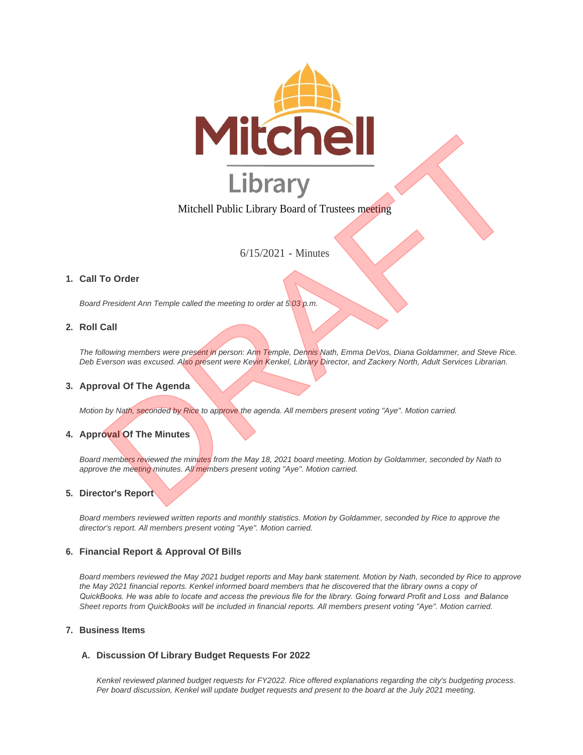

# Mitchell Public Library Board of Trustees meeting

6/15/2021 - Minutes

# **Call To Order 1.**

*Board President Ann Temple called the meeting to order at 5:03 p.m.*

### **Roll Call 2.**

*The following members were present in person: Ann Temple, Dennis Nath, Emma DeVos, Diana Goldammer, and Steve Rice. Deb Everson was excused. Also present were Kevin Kenkel, Library Director, and Zackery North, Adult Services Librarian.*

### **Approval Of The Agenda 3.**

*Motion by Nath, seconded by Rice to approve the agenda. All members present voting "Aye". Motion carried.*

# **4. Approval Of The Minutes**

*Board members reviewed the minutes from the May 18, 2021 board meeting. Motion by Goldammer, seconded by Nath to approve the meeting minutes. All members present voting "Aye". Motion carried.*

#### **Director's Report 5.**

*Board members reviewed written reports and monthly statistics. Motion by Goldammer, seconded by Rice to approve the director's report. All members present voting "Aye". Motion carried.*

#### **Financial Report & Approval Of Bills 6.**

*Board members reviewed the May 2021 budget reports and May bank statement. Motion by Nath, seconded by Rice to approve*  the May 2021 financial reports. Kenkel informed board members that he discovered that the library owns a copy of *QuickBooks. He was able to locate and access the previous file for the library. Going forward Profit and Loss and Balance Sheet reports from QuickBooks will be included in financial reports. All members present voting "Aye". Motion carried.*

#### **Business Items 7.**

### **Discussion Of Library Budget Requests For 2022 A.**

*Kenkel reviewed planned budget requests for FY2022. Rice offered explanations regarding the city's budgeting process. Per board discussion, Kenkel will update budget requests and present to the board at the July 2021 meeting.*